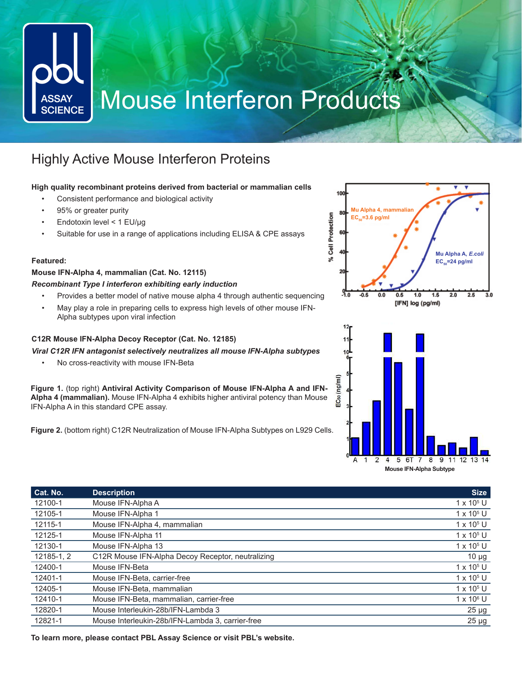# Mouse Interferon Products **ASSAY SCIENCE**

### Highly Active Mouse Interferon Proteins

#### **High quality recombinant proteins derived from bacterial or mammalian cells**

- Consistent performance and biological activity
- 95% or greater purity
- Endotoxin level < 1 EU/μg
- Suitable for use in a range of applications including ELISA & CPE assays

#### **Featured:**

#### **Mouse IFN-Alpha 4, mammalian (Cat. No. 12115)**

#### *Recombinant Type I interferon exhibiting early induction*

- Provides a better model of native mouse alpha 4 through authentic sequencing
- May play a role in preparing cells to express high levels of other mouse IFN-Alpha subtypes upon viral infection

#### **C12R Mouse IFN-Alpha Decoy Receptor (Cat. No. 12185)**

*Viral C12R IFN antagonist selectively neutralizes all mouse IFN-Alpha subtypes*

• No cross-reactivity with mouse IFN-Beta

**Figure 1.** (top right) **Antiviral Activity Comparison of Mouse IFN-Alpha A and IFN-Alpha 4 (mammalian).** Mouse IFN-Alpha 4 exhibits higher antiviral potency than Mouse IFN-Alpha A in this standard CPE assay.

**Figure 2.** (bottom right) C12R Neutralization of Mouse IFN-Alpha Subtypes on L929 Cells.





| Cat. No.   | <b>Description</b>                                | <b>Size</b>       |
|------------|---------------------------------------------------|-------------------|
| 12100-1    | Mouse IFN-Alpha A                                 | $1 \times 10^5$ U |
| 12105-1    | Mouse IFN-Alpha 1                                 | $1 \times 10^5$ U |
| 12115-1    | Mouse IFN-Alpha 4, mammalian                      | $1 \times 10^5$ U |
| 12125-1    | Mouse IFN-Alpha 11                                | $1 \times 10^5$ U |
| 12130-1    | Mouse IFN-Alpha 13                                | $1 \times 10^5$ U |
| 12185-1, 2 | C12R Mouse IFN-Alpha Decoy Receptor, neutralizing | $10 \mu g$        |
| 12400-1    | Mouse IFN-Beta                                    | $1 \times 10^5$ U |
| 12401-1    | Mouse IFN-Beta, carrier-free                      | $1 \times 10^5$ U |
| 12405-1    | Mouse IFN-Beta, mammalian                         | $1 \times 10^5$ U |
| 12410-1    | Mouse IFN-Beta, mammalian, carrier-free           | $1 \times 10^6$ U |
| 12820-1    | Mouse Interleukin-28b/IFN-Lambda 3                | $25 \mu g$        |
| 12821-1    | Mouse Interleukin-28b/IFN-Lambda 3, carrier-free  | $25 \mu g$        |

**To learn more, please contact PBL Assay Science or visit PBL's website.**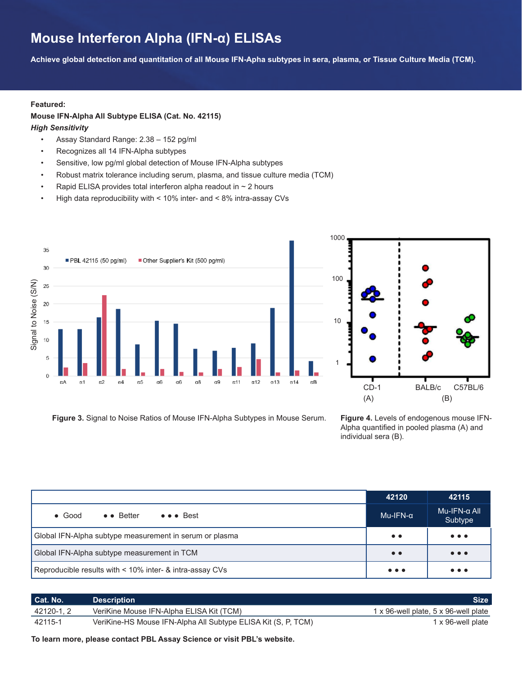### **Mouse Interferon Alpha (IFN-α) ELISAs**

**Achieve global detection and quantitation of all Mouse IFN-Apha subtypes in sera, plasma, or Tissue Culture Media (TCM).**

#### **Featured:**

#### **Mouse IFN-Alpha All Subtype ELISA (Cat. No. 42115)**

#### *High Sensitivity*

- Assay Standard Range: 2.38 152 pg/ml
- Recognizes all 14 IFN-Alpha subtypes
- Sensitive, low pg/ml global detection of Mouse IFN-Alpha subtypes
- Robust matrix tolerance including serum, plasma, and tissue culture media (TCM)
- Rapid ELISA provides total interferon alpha readout in  $\sim$  2 hours
- High data reproducibility with < 10% inter- and < 8% intra-assay CVs





**Figure 3.** Signal to Noise Ratios of Mouse IFN-Alpha Subtypes in Mouse Serum.

**Figure 4.** Levels of endogenous mouse IFN-Alpha quantified in pooled plasma (A) and individual sera (B).

|                                                                              | 42120                   | 42115                          |
|------------------------------------------------------------------------------|-------------------------|--------------------------------|
| $\bullet \bullet$ Better<br>$\bullet \bullet \bullet$ Best<br>$\bullet$ Good | $Mu-IFN-\alpha$         | $Mu-IFN-\alpha$ All<br>Subtype |
| Global IFN-Alpha subtype measurement in serum or plasma                      | $\bullet\bullet$        | $\bullet\bullet\bullet$        |
| Global IFN-Alpha subtype measurement in TCM                                  | $\bullet\bullet$        | $\bullet\bullet\bullet$        |
| Reproducible results with < 10% inter- & intra-assay CVs                     | $\bullet\bullet\bullet$ | $\bullet\bullet\bullet$        |

| Cat. No.  | Description <b>\</b>                                          | <b>Size</b>                          |
|-----------|---------------------------------------------------------------|--------------------------------------|
| 42120-1.2 | VeriKine Mouse IFN-Alpha ELISA Kit (TCM)                      | 1 x 96-well plate, 5 x 96-well plate |
| 42115-1   | VeriKine-HS Mouse IFN-Alpha All Subtype ELISA Kit (S, P, TCM) | 1 x 96-well plate                    |

**To learn more, please contact PBL Assay Science or visit PBL's website.**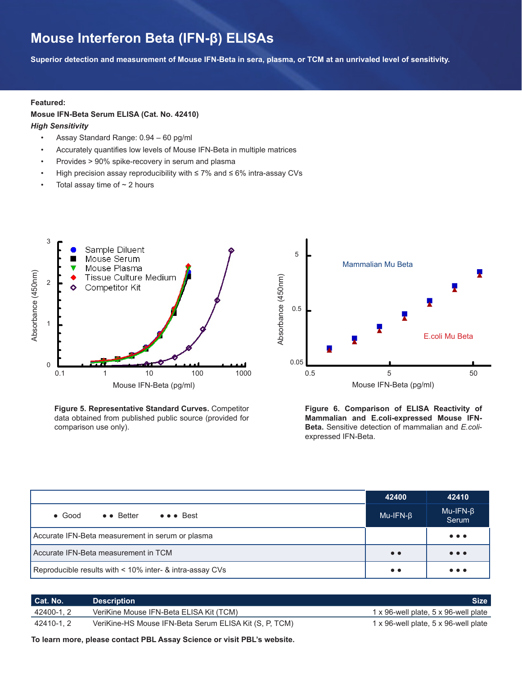### **Mouse Interferon Beta (IFN-β) ELISAs**

**Superior detection and measurement of Mouse IFN-Beta in sera, plasma, or TCM at an unrivaled level of sensitivity.**

#### **Featured:**

#### **Mosue IFN-Beta Serum ELISA (Cat. No. 42410)**

#### *High Sensitivity*

- Assay Standard Range: 0.94 60 pg/ml
- Accurately quantifies low levels of Mouse IFN-Beta in multiple matrices
- Provides > 90% spike-recovery in serum and plasma
- High precision assay reproducibility with ≤ 7% and ≤ 6% intra-assay CVs
- Total assay time of  $\sim$  2 hours



**Figure 5. Representative Standard Curves.** Competitor data obtained from published public source (provided for comparison use only).



**Figure 6. Comparison of ELISA Reactivity of Mammalian and E.coli-expressed Mouse IFN-Beta.** Sensitive detection of mammalian and *E.coli*expressed IFN-Beta.

|                                                          | 42400            | 42410                                                                    |
|----------------------------------------------------------|------------------|--------------------------------------------------------------------------|
| ● ● ● Best<br>$\bullet \bullet$ Better<br>$\bullet$ Good | $Mu-IFN-B$       | $Mu-IFN-\beta$<br>Serum                                                  |
| Accurate IFN-Beta measurement in serum or plasma         |                  | $\bullet\bullet\bullet$                                                  |
| Accurate IFN-Beta measurement in TCM                     | $\bullet\bullet$ | $\bullet\bullet\bullet$                                                  |
| Reproducible results with < 10% inter- & intra-assay CVs | $\bullet\bullet$ | $\bullet\hspace{0.4mm}\bullet\hspace{0.4mm}\bullet\hspace{0.4mm}\bullet$ |

| Cat. No.   | <b>Description</b>                                     | <b>Size</b>                          |
|------------|--------------------------------------------------------|--------------------------------------|
| 42400-1, 2 | VeriKine Mouse IFN-Beta ELISA Kit (TCM)                | 1 x 96-well plate, 5 x 96-well plate |
| 42410-1.2  | VeriKine-HS Mouse IFN-Beta Serum ELISA Kit (S, P, TCM) | 1 x 96-well plate, 5 x 96-well plate |

**To learn more, please contact PBL Assay Science or visit PBL's website.**